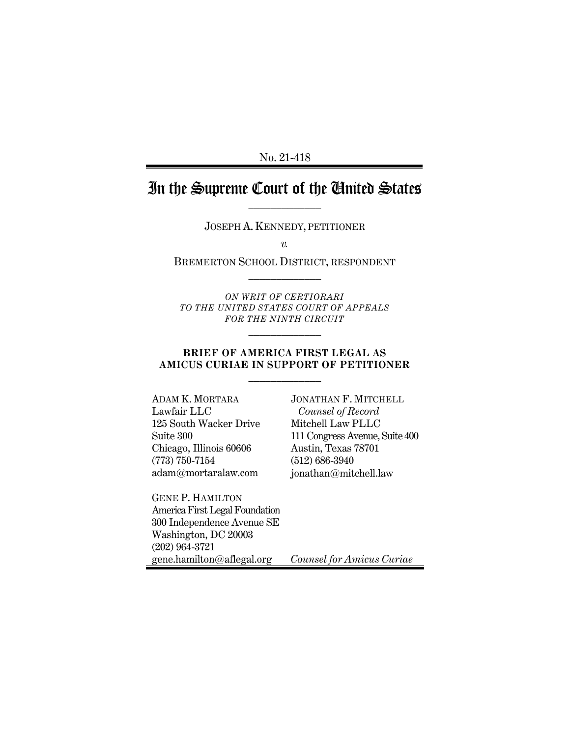No. 21-418

# In the Supreme Court of the United States

JOSEPH A. KENNEDY, PETITIONER

*v.*

BREMERTON SCHOOL DISTRICT, RESPONDENT  $\frac{1}{2}$ 

*ON WRIT OF CERTIORARI TO THE UNITED STATES COURT OF APPEALS FOR THE NINTH CIRCUIT*

 $\frac{1}{2}$ 

#### **BRIEF OF AMERICA FIRST LEGAL AS AMICUS CURIAE IN SUPPORT OF PETITIONER**  $\frac{1}{2}$

ADAM K. MORTARA Lawfair LLC 125 South Wacker Drive Suite 300 Chicago, Illinois 60606 (773) 750-7154 adam@mortaralaw.com

GENE P. HAMILTON America First Legal Foundation 300 Independence Avenue SE Washington, DC 20003 (202) 964-3721 gene.hamilton@aflegal.org

JONATHAN F. MITCHELL *Counsel of Record* Mitchell Law PLLC 111 Congress Avenue, Suite 400 Austin, Texas 78701 (512) 686-3940 jonathan@mitchell.law

*Counsel for Amicus Curiae*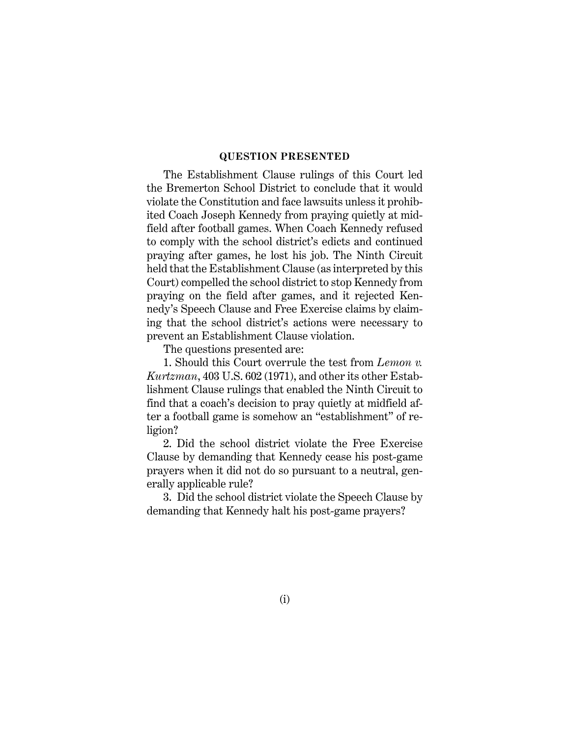#### **QUESTION PRESENTED**

The Establishment Clause rulings of this Court led the Bremerton School District to conclude that it would violate the Constitution and face lawsuits unless it prohibited Coach Joseph Kennedy from praying quietly at midfield after football games. When Coach Kennedy refused to comply with the school district's edicts and continued praying after games, he lost his job. The Ninth Circuit held that the Establishment Clause (as interpreted by this Court) compelled the school district to stop Kennedy from praying on the field after games, and it rejected Kennedy's Speech Clause and Free Exercise claims by claiming that the school district's actions were necessary to prevent an Establishment Clause violation.

The questions presented are:

1. Should this Court overrule the test from *Lemon v. Kurtzman*, 403 U.S. 602 (1971), and other its other Establishment Clause rulings that enabled the Ninth Circuit to find that a coach's decision to pray quietly at midfield after a football game is somehow an "establishment" of religion?

2. Did the school district violate the Free Exercise Clause by demanding that Kennedy cease his post-game prayers when it did not do so pursuant to a neutral, generally applicable rule?

3. Did the school district violate the Speech Clause by demanding that Kennedy halt his post-game prayers?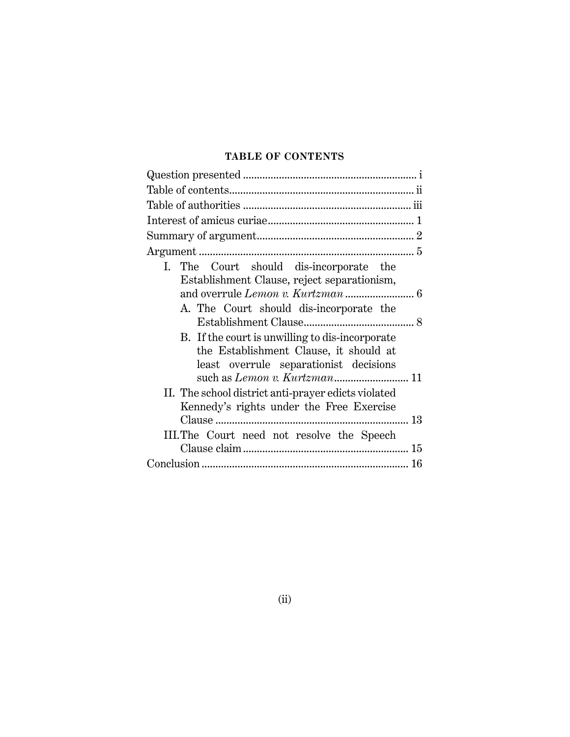## **TABLE OF CONTENTS**

| I. The Court should dis-incorporate the             |    |
|-----------------------------------------------------|----|
| Establishment Clause, reject separationism,         |    |
| and overrule Lemon v. Kurtzman  6                   |    |
| A. The Court should dis-incorporate the             |    |
|                                                     |    |
| B. If the court is unwilling to dis-incorporate     |    |
| the Establishment Clause, it should at              |    |
| least overrule separationist decisions              |    |
| such as Lemon v. Kurtzman 11                        |    |
| II. The school district anti-prayer edicts violated |    |
| Kennedy's rights under the Free Exercise            |    |
|                                                     | 13 |
| III. The Court need not resolve the Speech          |    |
|                                                     |    |
|                                                     |    |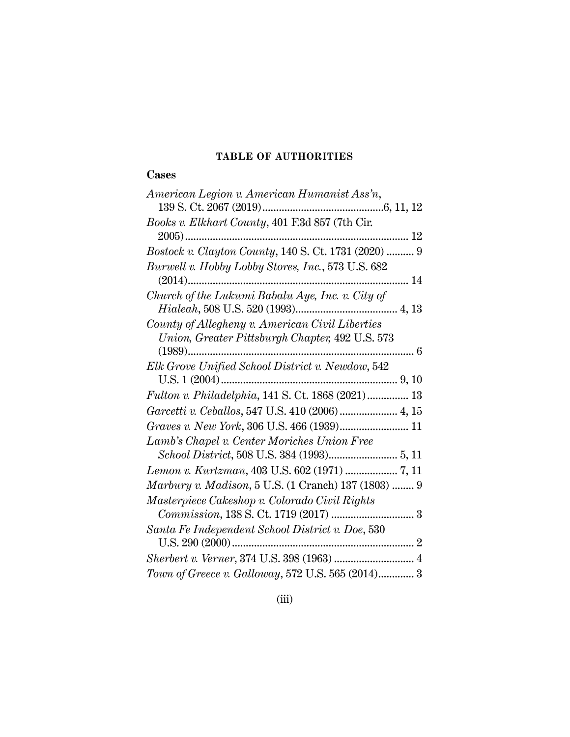## **TABLE OF AUTHORITIES**

## **Cases**

| American Legion v. American Humanist Ass'n,          |
|------------------------------------------------------|
|                                                      |
| Books v. Elkhart County, 401 F.3d 857 (7th Cir.      |
|                                                      |
| Bostock v. Clayton County, 140 S. Ct. 1731 (2020)  9 |
| Burwell v. Hobby Lobby Stores, Inc., 573 U.S. 682    |
| 14                                                   |
| Church of the Lukumi Babalu Aye, Inc. v. City of     |
|                                                      |
| County of Allegheny v. American Civil Liberties      |
| Union, Greater Pittsburgh Chapter, 492 U.S. 573      |
|                                                      |
| Elk Grove Unified School District v. Newdow, 542     |
|                                                      |
| Fulton v. Philadelphia, 141 S. Ct. 1868 (2021)  13   |
| Garcetti v. Ceballos, 547 U.S. 410 (2006)  4, 15     |
| Graves v. New York, 306 U.S. 466 (1939) 11           |
| Lamb's Chapel v. Center Moriches Union Free          |
|                                                      |
| Lemon v. Kurtzman, 403 U.S. 602 (1971)  7, 11        |
| Marbury v. Madison, 5 U.S. (1 Cranch) 137 (1803)  9  |
| Masterpiece Cakeshop v. Colorado Civil Rights        |
|                                                      |
| Santa Fe Independent School District v. Doe, 530     |
|                                                      |
|                                                      |
| Town of Greece v. Galloway, 572 U.S. 565 (2014) 3    |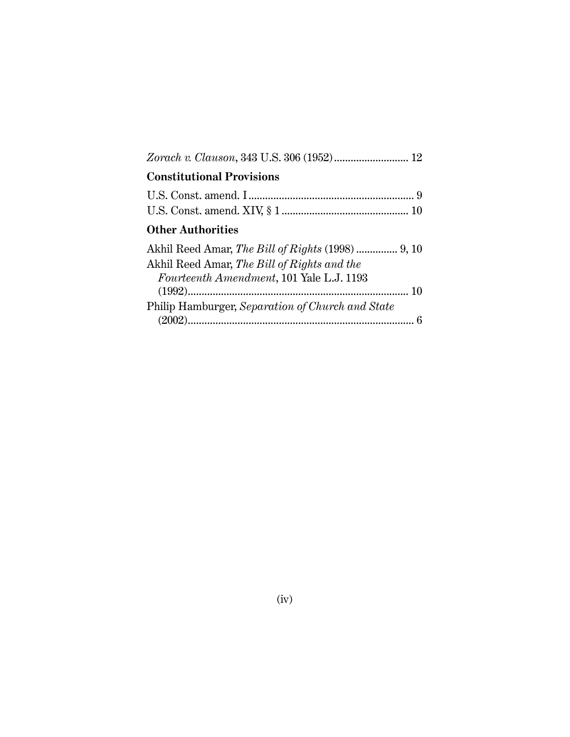| <b>Constitutional Provisions</b>                                                        |  |
|-----------------------------------------------------------------------------------------|--|
|                                                                                         |  |
| <b>Other Authorities</b>                                                                |  |
| Akhil Reed Amar, The Bill of Rights and the<br>Fourteenth Amendment, 101 Yale L.J. 1193 |  |
|                                                                                         |  |
| Philip Hamburger, Separation of Church and State                                        |  |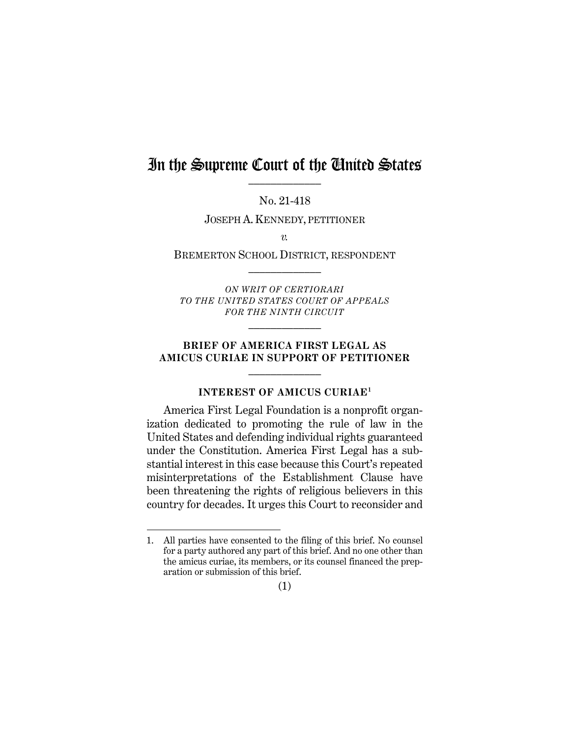# In the Supreme Court of the United States

No. 21-418

JOSEPH A. KENNEDY, PETITIONER

*v.*

BREMERTON SCHOOL DISTRICT, RESPONDENT  $\frac{1}{2}$ 

*ON WRIT OF CERTIORARI TO THE UNITED STATES COURT OF APPEALS FOR THE NINTH CIRCUIT*

 $\frac{1}{2}$ 

#### **BRIEF OF AMERICA FIRST LEGAL AS AMICUS CURIAE IN SUPPORT OF PETITIONER**  $\mathcal{L}_\text{max}$

### **INTEREST OF AMICUS CURIAE1**

America First Legal Foundation is a nonprofit organization dedicated to promoting the rule of law in the United States and defending individual rights guaranteed under the Constitution. America First Legal has a substantial interest in this case because this Court's repeated misinterpretations of the Establishment Clause have been threatening the rights of religious believers in this country for decades. It urges this Court to reconsider and

(1)

<sup>1.</sup> All parties have consented to the filing of this brief. No counsel for a party authored any part of this brief. And no one other than the amicus curiae, its members, or its counsel financed the preparation or submission of this brief.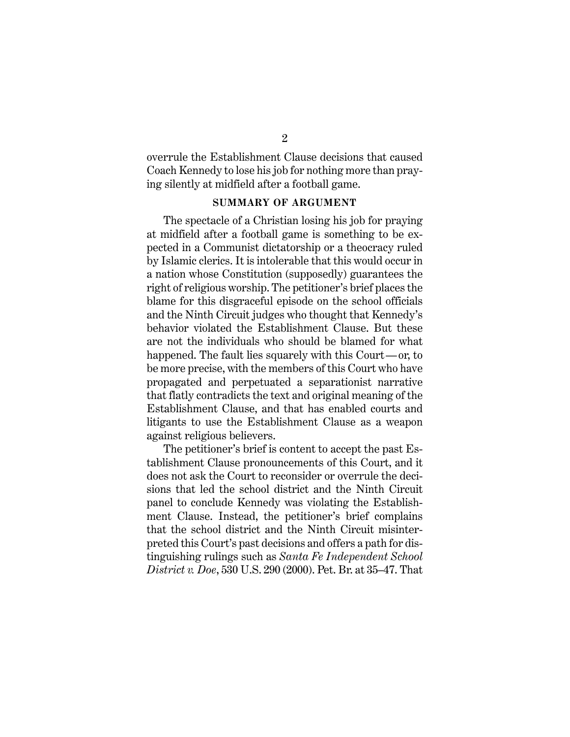overrule the Establishment Clause decisions that caused Coach Kennedy to lose his job for nothing more than praying silently at midfield after a football game.

#### **SUMMARY OF ARGUMENT**

The spectacle of a Christian losing his job for praying at midfield after a football game is something to be expected in a Communist dictatorship or a theocracy ruled by Islamic clerics. It is intolerable that this would occur in a nation whose Constitution (supposedly) guarantees the right of religious worship. The petitioner's brief places the blame for this disgraceful episode on the school officials and the Ninth Circuit judges who thought that Kennedy's behavior violated the Establishment Clause. But these are not the individuals who should be blamed for what happened. The fault lies squarely with this Court—or, to be more precise, with the members of this Court who have propagated and perpetuated a separationist narrative that flatly contradicts the text and original meaning of the Establishment Clause, and that has enabled courts and litigants to use the Establishment Clause as a weapon against religious believers.

The petitioner's brief is content to accept the past Establishment Clause pronouncements of this Court, and it does not ask the Court to reconsider or overrule the decisions that led the school district and the Ninth Circuit panel to conclude Kennedy was violating the Establishment Clause. Instead, the petitioner's brief complains that the school district and the Ninth Circuit misinterpreted this Court's past decisions and offers a path for distinguishing rulings such as *Santa Fe Independent School District v. Doe*, 530 U.S. 290 (2000). Pet. Br. at 35–47. That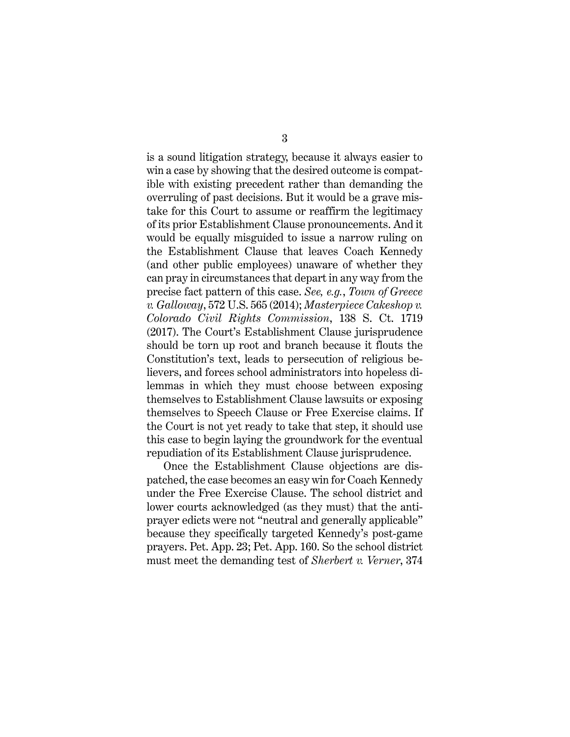is a sound litigation strategy, because it always easier to win a case by showing that the desired outcome is compatible with existing precedent rather than demanding the overruling of past decisions. But it would be a grave mistake for this Court to assume or reaffirm the legitimacy of its prior Establishment Clause pronouncements. And it would be equally misguided to issue a narrow ruling on the Establishment Clause that leaves Coach Kennedy (and other public employees) unaware of whether they can pray in circumstances that depart in any way from the precise fact pattern of this case. *See, e.g.*, *Town of Greece v. Galloway*, 572 U.S. 565 (2014); *Masterpiece Cakeshop v. Colorado Civil Rights Commission*, 138 S. Ct. 1719 (2017). The Court's Establishment Clause jurisprudence should be torn up root and branch because it flouts the Constitution's text, leads to persecution of religious believers, and forces school administrators into hopeless dilemmas in which they must choose between exposing themselves to Establishment Clause lawsuits or exposing themselves to Speech Clause or Free Exercise claims. If the Court is not yet ready to take that step, it should use this case to begin laying the groundwork for the eventual repudiation of its Establishment Clause jurisprudence.

Once the Establishment Clause objections are dispatched, the case becomes an easy win for Coach Kennedy under the Free Exercise Clause. The school district and lower courts acknowledged (as they must) that the antiprayer edicts were not "neutral and generally applicable" because they specifically targeted Kennedy's post-game prayers. Pet. App. 23; Pet. App. 160. So the school district must meet the demanding test of *Sherbert v. Verner*, 374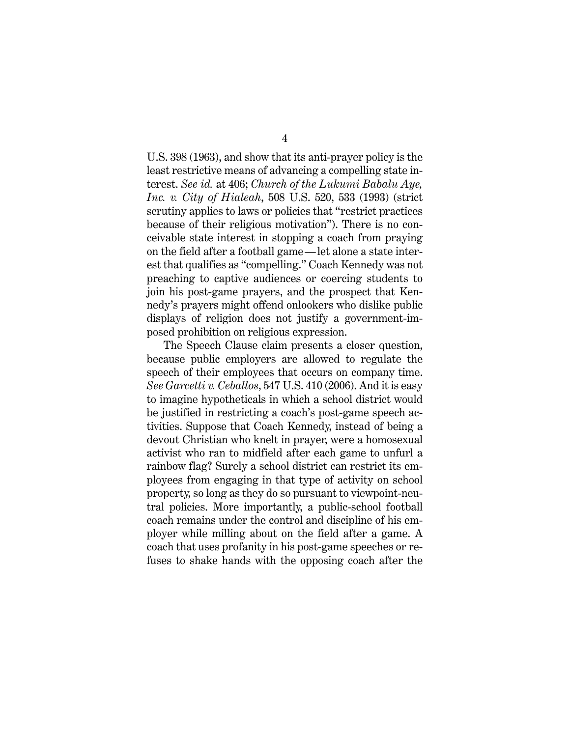4

U.S. 398 (1963), and show that its anti-prayer policy is the least restrictive means of advancing a compelling state interest. *See id.* at 406; *Church of the Lukumi Babalu Aye, Inc. v. City of Hialeah*, 508 U.S. 520, 533 (1993) (strict scrutiny applies to laws or policies that "restrict practices because of their religious motivation"). There is no conceivable state interest in stopping a coach from praying on the field after a football game—let alone a state interest that qualifies as "compelling." Coach Kennedy was not preaching to captive audiences or coercing students to join his post-game prayers, and the prospect that Kennedy's prayers might offend onlookers who dislike public displays of religion does not justify a government-imposed prohibition on religious expression.

The Speech Clause claim presents a closer question, because public employers are allowed to regulate the speech of their employees that occurs on company time. *See Garcetti v. Ceballos*, 547 U.S. 410 (2006). And it is easy to imagine hypotheticals in which a school district would be justified in restricting a coach's post-game speech activities. Suppose that Coach Kennedy, instead of being a devout Christian who knelt in prayer, were a homosexual activist who ran to midfield after each game to unfurl a rainbow flag? Surely a school district can restrict its employees from engaging in that type of activity on school property, so long as they do so pursuant to viewpoint-neutral policies. More importantly, a public-school football coach remains under the control and discipline of his employer while milling about on the field after a game. A coach that uses profanity in his post-game speeches or refuses to shake hands with the opposing coach after the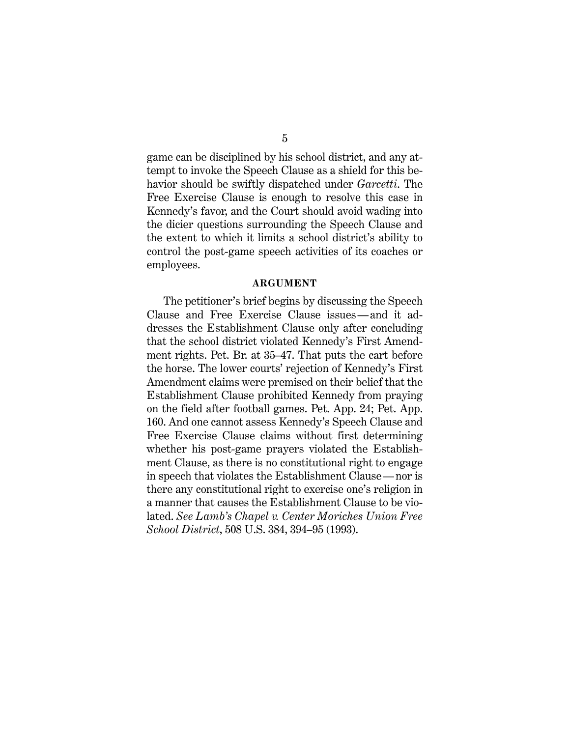game can be disciplined by his school district, and any attempt to invoke the Speech Clause as a shield for this behavior should be swiftly dispatched under *Garcetti*. The Free Exercise Clause is enough to resolve this case in Kennedy's favor, and the Court should avoid wading into the dicier questions surrounding the Speech Clause and the extent to which it limits a school district's ability to control the post-game speech activities of its coaches or employees.

#### **ARGUMENT**

The petitioner's brief begins by discussing the Speech Clause and Free Exercise Clause issues—and it addresses the Establishment Clause only after concluding that the school district violated Kennedy's First Amendment rights. Pet. Br. at 35–47. That puts the cart before the horse. The lower courts' rejection of Kennedy's First Amendment claims were premised on their belief that the Establishment Clause prohibited Kennedy from praying on the field after football games. Pet. App. 24; Pet. App. 160. And one cannot assess Kennedy's Speech Clause and Free Exercise Clause claims without first determining whether his post-game prayers violated the Establishment Clause, as there is no constitutional right to engage in speech that violates the Establishment Clause—nor is there any constitutional right to exercise one's religion in a manner that causes the Establishment Clause to be violated. *See Lamb's Chapel v. Center Moriches Union Free School District*, 508 U.S. 384, 394–95 (1993).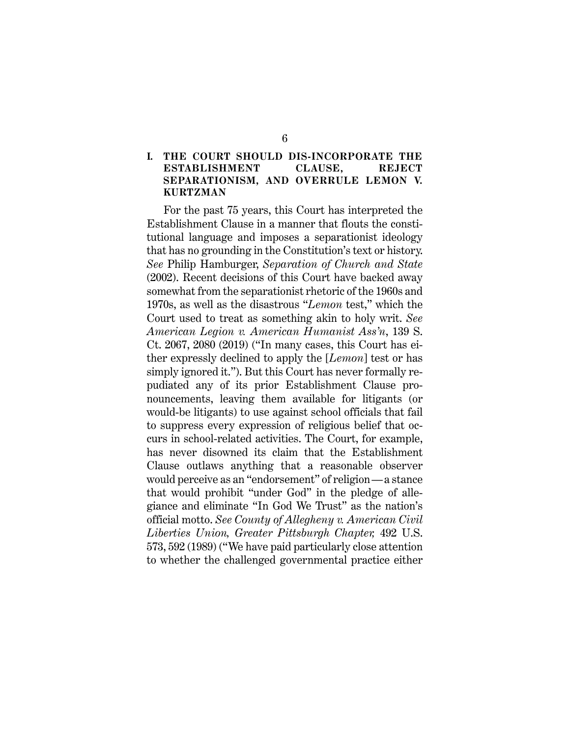#### **I. THE COURT SHOULD DIS-INCORPORATE THE ESTABLISHMENT CLAUSE, REJECT SEPARATIONISM, AND OVERRULE LEMON V. KURTZMAN**

For the past 75 years, this Court has interpreted the Establishment Clause in a manner that flouts the constitutional language and imposes a separationist ideology that has no grounding in the Constitution's text or history. *See* Philip Hamburger, *Separation of Church and State* (2002). Recent decisions of this Court have backed away somewhat from the separationist rhetoric of the 1960s and 1970s, as well as the disastrous "*Lemon* test," which the Court used to treat as something akin to holy writ. *See American Legion v. American Humanist Ass'n*, 139 S. Ct. 2067, 2080 (2019) ("In many cases, this Court has either expressly declined to apply the [*Lemon*] test or has simply ignored it."). But this Court has never formally repudiated any of its prior Establishment Clause pronouncements, leaving them available for litigants (or would-be litigants) to use against school officials that fail to suppress every expression of religious belief that occurs in school-related activities. The Court, for example, has never disowned its claim that the Establishment Clause outlaws anything that a reasonable observer would perceive as an "endorsement" of religion—a stance that would prohibit "under God" in the pledge of allegiance and eliminate "In God We Trust" as the nation's official motto. *See County of Allegheny v. American Civil Liberties Union, Greater Pittsburgh Chapter,* 492 U.S. 573, 592 (1989) ("We have paid particularly close attention to whether the challenged governmental practice either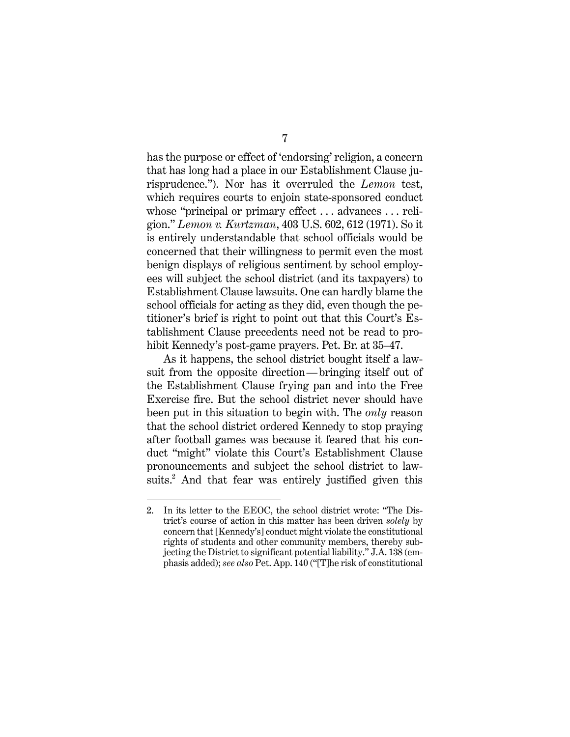has the purpose or effect of 'endorsing' religion, a concern that has long had a place in our Establishment Clause jurisprudence."). Nor has it overruled the *Lemon* test, which requires courts to enjoin state-sponsored conduct whose "principal or primary effect . . . advances . . . religion." *Lemon v. Kurtzman*, 403 U.S. 602, 612 (1971). So it is entirely understandable that school officials would be concerned that their willingness to permit even the most benign displays of religious sentiment by school employees will subject the school district (and its taxpayers) to Establishment Clause lawsuits. One can hardly blame the school officials for acting as they did, even though the petitioner's brief is right to point out that this Court's Establishment Clause precedents need not be read to prohibit Kennedy's post-game prayers. Pet. Br. at 35–47.

As it happens, the school district bought itself a lawsuit from the opposite direction—bringing itself out of the Establishment Clause frying pan and into the Free Exercise fire. But the school district never should have been put in this situation to begin with. The *only* reason that the school district ordered Kennedy to stop praying after football games was because it feared that his conduct "might" violate this Court's Establishment Clause pronouncements and subject the school district to lawsuits. <sup>2</sup> And that fear was entirely justified given this

<sup>2.</sup> In its letter to the EEOC, the school district wrote: "The District's course of action in this matter has been driven *solely* by concern that [Kennedy's] conduct might violate the constitutional rights of students and other community members, thereby subjecting the District to significant potential liability." J.A. 138 (emphasis added); *see also* Pet. App. 140 ("[T]he risk of constitutional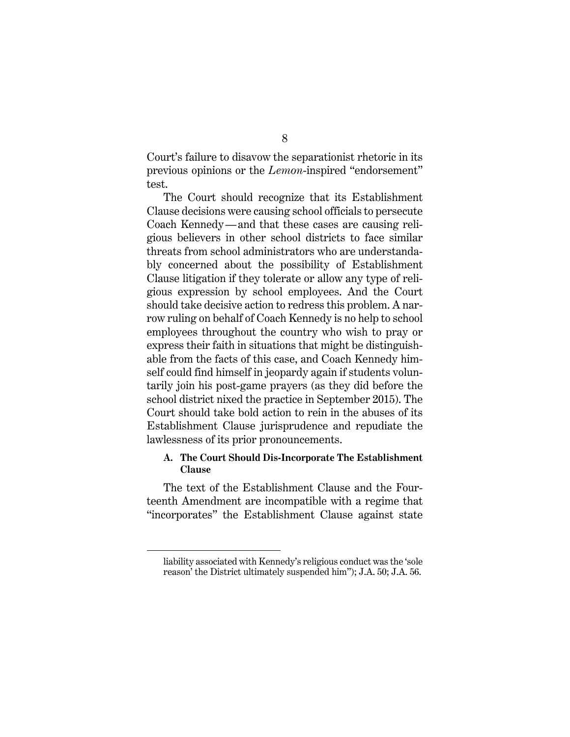Court's failure to disavow the separationist rhetoric in its previous opinions or the *Lemon*-inspired "endorsement" test.

The Court should recognize that its Establishment Clause decisions were causing school officials to persecute Coach Kennedy—and that these cases are causing religious believers in other school districts to face similar threats from school administrators who are understandably concerned about the possibility of Establishment Clause litigation if they tolerate or allow any type of religious expression by school employees. And the Court should take decisive action to redress this problem. A narrow ruling on behalf of Coach Kennedy is no help to school employees throughout the country who wish to pray or express their faith in situations that might be distinguishable from the facts of this case, and Coach Kennedy himself could find himself in jeopardy again if students voluntarily join his post-game prayers (as they did before the school district nixed the practice in September 2015). The Court should take bold action to rein in the abuses of its Establishment Clause jurisprudence and repudiate the lawlessness of its prior pronouncements.

### **A. The Court Should Dis-Incorporate The Establishment Clause**

The text of the Establishment Clause and the Fourteenth Amendment are incompatible with a regime that "incorporates" the Establishment Clause against state

liability associated with Kennedy's religious conduct was the 'sole reason' the District ultimately suspended him"); J.A. 50; J.A. 56.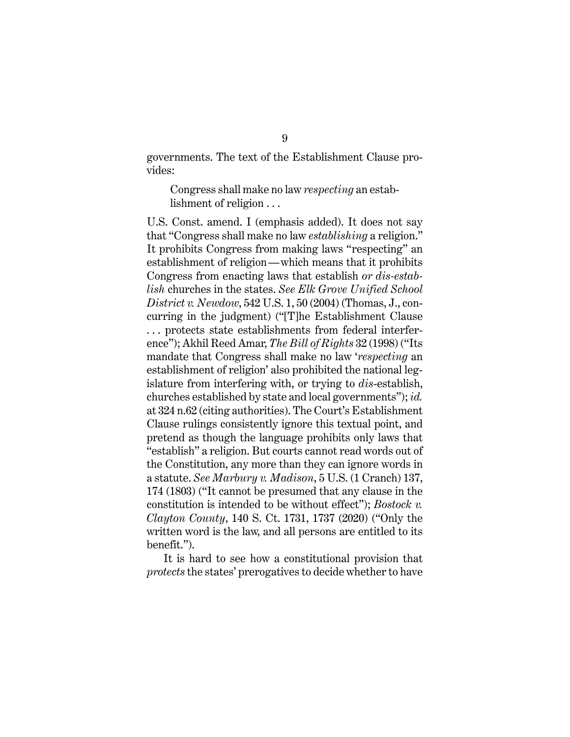governments. The text of the Establishment Clause provides:

Congress shall make no law *respecting* an establishment of religion . . .

U.S. Const. amend. I (emphasis added). It does not say that "Congress shall make no law *establishing* a religion." It prohibits Congress from making laws "respecting" an establishment of religion—which means that it prohibits Congress from enacting laws that establish *or dis-establish* churches in the states. *See Elk Grove Unified School District v. Newdow*, 542 U.S. 1, 50 (2004) (Thomas, J., concurring in the judgment) ("[T]he Establishment Clause . . . protects state establishments from federal interference"); Akhil Reed Amar, *The Bill of Rights* 32 (1998) ("Its mandate that Congress shall make no law '*respecting* an establishment of religion' also prohibited the national legislature from interfering with, or trying to *dis*-establish, churches established by state and local governments"); *id.* at 324 n.62 (citing authorities). The Court's Establishment Clause rulings consistently ignore this textual point, and pretend as though the language prohibits only laws that "establish" a religion. But courts cannot read words out of the Constitution, any more than they can ignore words in a statute. *See Marbury v. Madison*, 5 U.S. (1 Cranch) 137, 174 (1803) ("It cannot be presumed that any clause in the constitution is intended to be without effect"); *Bostock v. Clayton County*, 140 S. Ct. 1731, 1737 (2020) ("Only the written word is the law, and all persons are entitled to its benefit.").

It is hard to see how a constitutional provision that *protects* the states' prerogatives to decide whether to have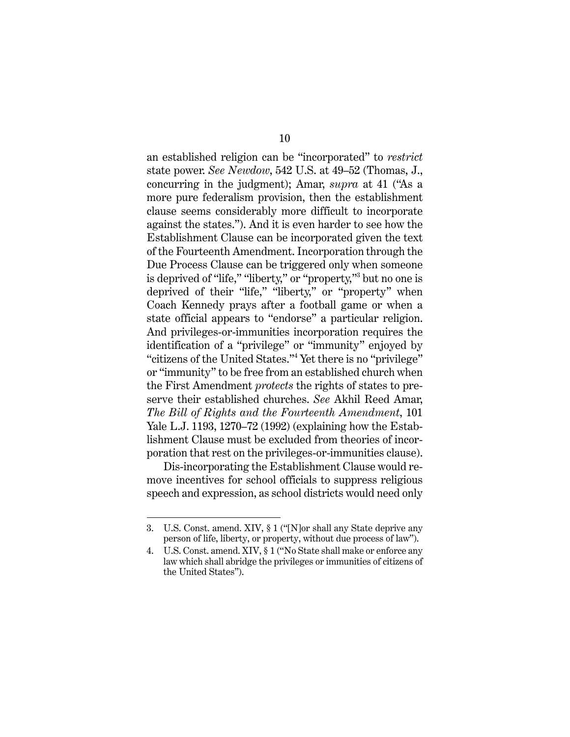an established religion can be "incorporated" to *restrict* state power. *See Newdow*, 542 U.S. at 49–52 (Thomas, J., concurring in the judgment); Amar, *supra* at 41 ("As a more pure federalism provision, then the establishment clause seems considerably more difficult to incorporate against the states."). And it is even harder to see how the Establishment Clause can be incorporated given the text of the Fourteenth Amendment. Incorporation through the Due Process Clause can be triggered only when someone is deprived of "life," "liberty," or "property,"3 but no one is deprived of their "life," "liberty," or "property" when Coach Kennedy prays after a football game or when a state official appears to "endorse" a particular religion. And privileges-or-immunities incorporation requires the identification of a "privilege" or "immunity" enjoyed by "citizens of the United States."4 Yet there is no "privilege" or "immunity" to be free from an established church when the First Amendment *protects* the rights of states to preserve their established churches. *See* Akhil Reed Amar, *The Bill of Rights and the Fourteenth Amendment*, 101 Yale L.J. 1193, 1270–72 (1992) (explaining how the Establishment Clause must be excluded from theories of incorporation that rest on the privileges-or-immunities clause).

Dis-incorporating the Establishment Clause would remove incentives for school officials to suppress religious speech and expression, as school districts would need only

<sup>3.</sup> U.S. Const. amend. XIV, § 1 ("[N]or shall any State deprive any person of life, liberty, or property, without due process of law").

<sup>4.</sup> U.S. Const. amend. XIV, § 1 ("No State shall make or enforce any law which shall abridge the privileges or immunities of citizens of the United States").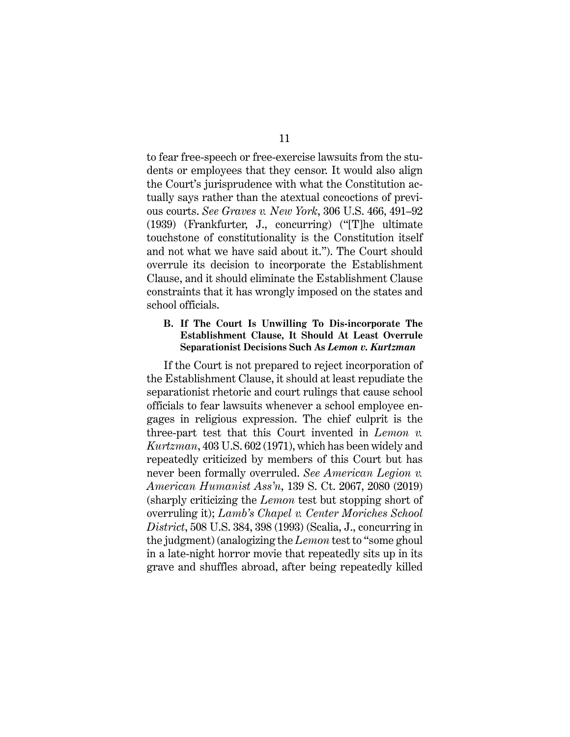to fear free-speech or free-exercise lawsuits from the students or employees that they censor. It would also align the Court's jurisprudence with what the Constitution actually says rather than the atextual concoctions of previous courts. *See Graves v. New York*, 306 U.S. 466, 491–92 (1939) (Frankfurter, J., concurring) ("[T]he ultimate touchstone of constitutionality is the Constitution itself and not what we have said about it."). The Court should overrule its decision to incorporate the Establishment Clause, and it should eliminate the Establishment Clause constraints that it has wrongly imposed on the states and school officials.

#### **B. If The Court Is Unwilling To Dis-incorporate The Establishment Clause, It Should At Least Overrule Separationist Decisions Such As** *Lemon v. Kurtzman*

If the Court is not prepared to reject incorporation of the Establishment Clause, it should at least repudiate the separationist rhetoric and court rulings that cause school officials to fear lawsuits whenever a school employee engages in religious expression. The chief culprit is the three-part test that this Court invented in *Lemon v. Kurtzman*, 403 U.S. 602 (1971), which has been widely and repeatedly criticized by members of this Court but has never been formally overruled. *See American Legion v. American Humanist Ass'n*, 139 S. Ct. 2067, 2080 (2019) (sharply criticizing the *Lemon* test but stopping short of overruling it); *Lamb's Chapel v. Center Moriches School District*, 508 U.S. 384, 398 (1993) (Scalia, J., concurring in the judgment) (analogizing the *Lemon* test to "some ghoul in a late-night horror movie that repeatedly sits up in its grave and shuffles abroad, after being repeatedly killed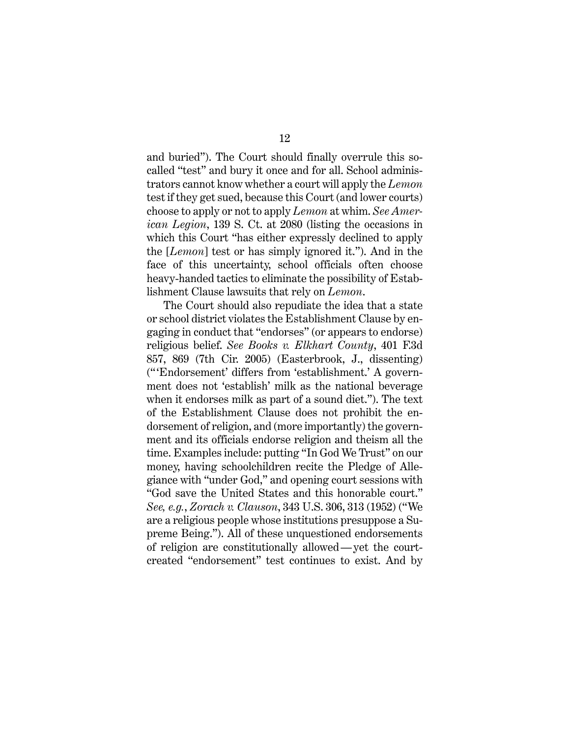and buried"). The Court should finally overrule this socalled "test" and bury it once and for all. School administrators cannot know whether a court will apply the *Lemon* test if they get sued, because this Court (and lower courts) choose to apply or not to apply *Lemon* at whim. *See American Legion*, 139 S. Ct. at 2080 (listing the occasions in which this Court "has either expressly declined to apply the [*Lemon*] test or has simply ignored it."). And in the face of this uncertainty, school officials often choose heavy-handed tactics to eliminate the possibility of Establishment Clause lawsuits that rely on *Lemon*.

The Court should also repudiate the idea that a state or school district violates the Establishment Clause by engaging in conduct that "endorses" (or appears to endorse) religious belief. *See Books v. Elkhart County*, 401 F.3d 857, 869 (7th Cir. 2005) (Easterbrook, J., dissenting) (" 'Endorsement' differs from 'establishment.' A government does not 'establish' milk as the national beverage when it endorses milk as part of a sound diet."). The text of the Establishment Clause does not prohibit the endorsement of religion, and (more importantly) the government and its officials endorse religion and theism all the time. Examples include: putting "In God We Trust" on our money, having schoolchildren recite the Pledge of Allegiance with "under God," and opening court sessions with "God save the United States and this honorable court." *See, e.g.*, *Zorach v. Clauson*, 343 U.S. 306, 313 (1952) ("We are a religious people whose institutions presuppose a Supreme Being."). All of these unquestioned endorsements of religion are constitutionally allowed—yet the courtcreated "endorsement" test continues to exist. And by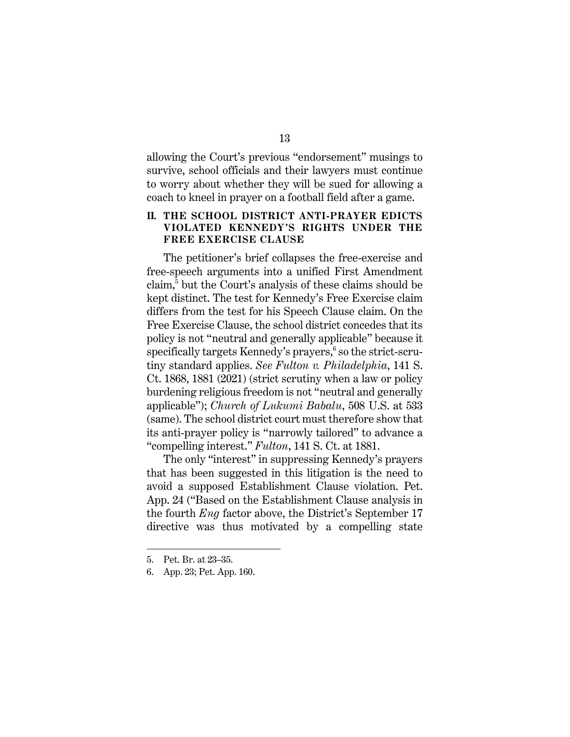allowing the Court's previous "endorsement" musings to survive, school officials and their lawyers must continue to worry about whether they will be sued for allowing a coach to kneel in prayer on a football field after a game.

### **II. THE SCHOOL DISTRICT ANTI-PRAYER EDICTS VIOLATED KENNEDY'S RIGHTS UNDER THE FREE EXERCISE CLAUSE**

The petitioner's brief collapses the free-exercise and free-speech arguments into a unified First Amendment claim,5 but the Court's analysis of these claims should be kept distinct. The test for Kennedy's Free Exercise claim differs from the test for his Speech Clause claim. On the Free Exercise Clause, the school district concedes that its policy is not "neutral and generally applicable" because it specifically targets Kennedy's prayers, <sup>6</sup> so the strict-scrutiny standard applies. *See Fulton v. Philadelphia*, 141 S. Ct. 1868, 1881 (2021) (strict scrutiny when a law or policy burdening religious freedom is not "neutral and generally applicable"); *Church of Lukumi Babalu*, 508 U.S. at 533 (same). The school district court must therefore show that its anti-prayer policy is "narrowly tailored" to advance a "compelling interest." *Fulton*, 141 S. Ct. at 1881.

The only "interest" in suppressing Kennedy's prayers that has been suggested in this litigation is the need to avoid a supposed Establishment Clause violation. Pet. App. 24 ("Based on the Establishment Clause analysis in the fourth *Eng* factor above, the District's September 17 directive was thus motivated by a compelling state

<sup>5.</sup> Pet. Br. at 23–35.

<sup>6.</sup> App. 23; Pet. App. 160.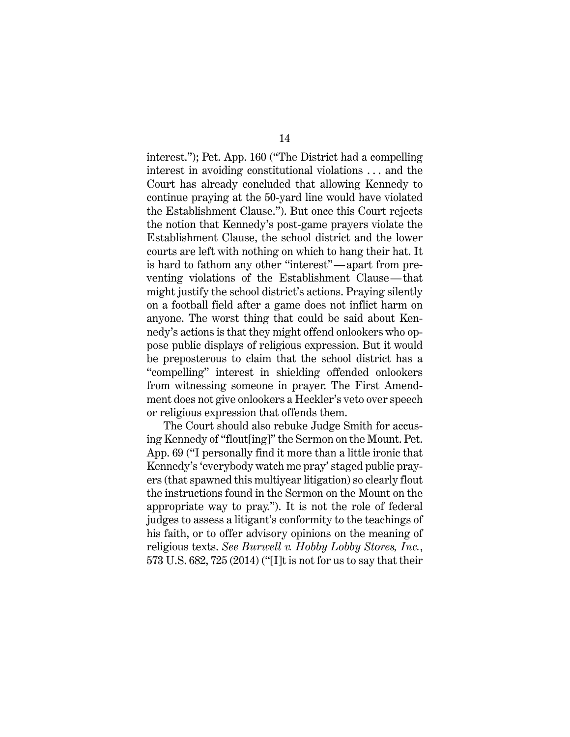interest."); Pet. App. 160 ("The District had a compelling interest in avoiding constitutional violations . . . and the Court has already concluded that allowing Kennedy to continue praying at the 50-yard line would have violated the Establishment Clause."). But once this Court rejects the notion that Kennedy's post-game prayers violate the Establishment Clause, the school district and the lower courts are left with nothing on which to hang their hat. It is hard to fathom any other "interest"—apart from preventing violations of the Establishment Clause—that might justify the school district's actions. Praying silently on a football field after a game does not inflict harm on anyone. The worst thing that could be said about Kennedy's actions is that they might offend onlookers who oppose public displays of religious expression. But it would be preposterous to claim that the school district has a "compelling" interest in shielding offended onlookers from witnessing someone in prayer. The First Amendment does not give onlookers a Heckler's veto over speech or religious expression that offends them.

The Court should also rebuke Judge Smith for accusing Kennedy of "flout[ing]" the Sermon on the Mount. Pet. App. 69 ("I personally find it more than a little ironic that Kennedy's 'everybody watch me pray' staged public prayers (that spawned this multiyear litigation) so clearly flout the instructions found in the Sermon on the Mount on the appropriate way to pray."). It is not the role of federal judges to assess a litigant's conformity to the teachings of his faith, or to offer advisory opinions on the meaning of religious texts. *See Burwell v. Hobby Lobby Stores, Inc.*, 573 U.S. 682, 725 (2014) ("[I]t is not for us to say that their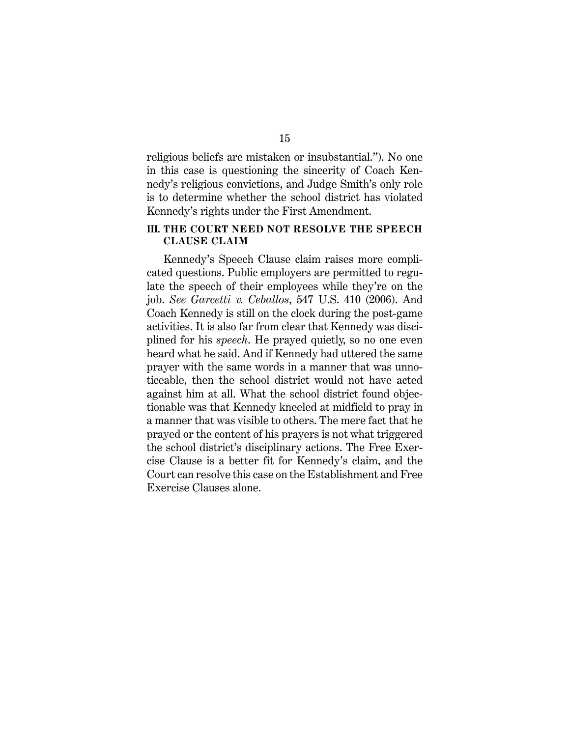religious beliefs are mistaken or insubstantial."). No one in this case is questioning the sincerity of Coach Kennedy's religious convictions, and Judge Smith's only role is to determine whether the school district has violated Kennedy's rights under the First Amendment.

#### **III. THE COURT NEED NOT RESOLVE THE SPEECH CLAUSE CLAIM**

Kennedy's Speech Clause claim raises more complicated questions. Public employers are permitted to regulate the speech of their employees while they're on the job. *See Garcetti v. Ceballos*, 547 U.S. 410 (2006). And Coach Kennedy is still on the clock during the post-game activities. It is also far from clear that Kennedy was disciplined for his *speech*. He prayed quietly, so no one even heard what he said. And if Kennedy had uttered the same prayer with the same words in a manner that was unnoticeable, then the school district would not have acted against him at all. What the school district found objectionable was that Kennedy kneeled at midfield to pray in a manner that was visible to others. The mere fact that he prayed or the content of his prayers is not what triggered the school district's disciplinary actions. The Free Exercise Clause is a better fit for Kennedy's claim, and the Court can resolve this case on the Establishment and Free Exercise Clauses alone.